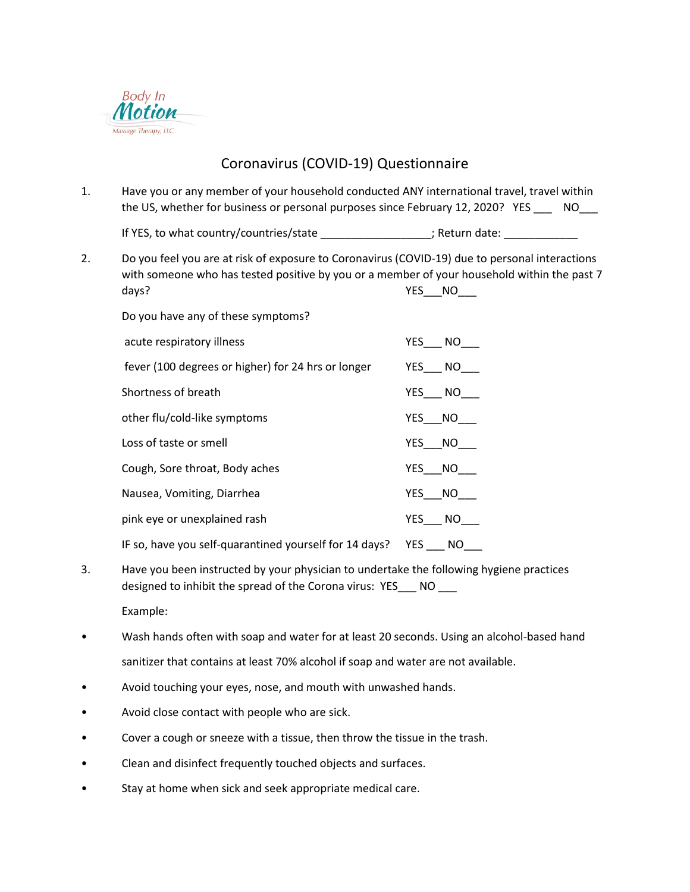

## Coronavirus (COVID-19) Questionnaire

1. Have you or any member of your household conducted ANY international travel, travel within the US, whether for business or personal purposes since February 12, 2020? YES \_\_\_\_ NO\_\_\_

If YES, to what country/countries/state \_\_\_\_\_\_\_\_\_\_\_\_\_\_\_\_\_; Return date: \_\_\_\_\_\_\_\_\_

2. Do you feel you are at risk of exposure to Coronavirus (COVID-19) due to personal interactions with someone who has tested positive by you or a member of your household within the past 7 days? Note that the set of the set of the set of the set of the set of the set of the set of the set of the set of the set of the set of the set of the set of the set of the set of the set of the set of the set of the set

Do you have any of these symptoms?

| acute respiratory illness                                     | YES NO |
|---------------------------------------------------------------|--------|
| fever (100 degrees or higher) for 24 hrs or longer            | YES NO |
| Shortness of breath                                           | YES NO |
| other flu/cold-like symptoms                                  | YES NO |
| Loss of taste or smell                                        | YES NO |
| Cough, Sore throat, Body aches                                | YES NO |
| Nausea, Vomiting, Diarrhea                                    | YES NO |
| pink eye or unexplained rash                                  | YES NO |
| IF so, have you self-quarantined yourself for 14 days? YES NO |        |

3. Have you been instructed by your physician to undertake the following hygiene practices designed to inhibit the spread of the Corona virus: YES NO

Example:

- Wash hands often with soap and water for at least 20 seconds. Using an alcohol-based hand sanitizer that contains at least 70% alcohol if soap and water are not available.
- Avoid touching your eyes, nose, and mouth with unwashed hands.
- Avoid close contact with people who are sick.
- Cover a cough or sneeze with a tissue, then throw the tissue in the trash.
- Clean and disinfect frequently touched objects and surfaces.
- Stay at home when sick and seek appropriate medical care.